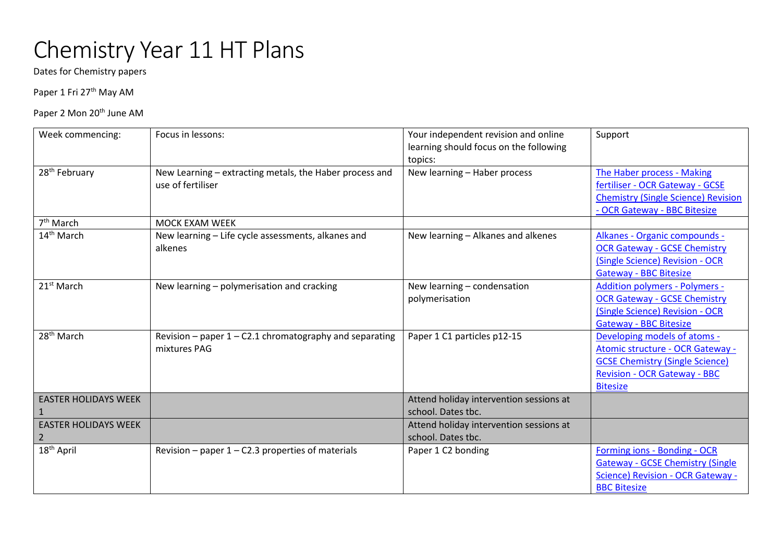## Chemistry Year 11 HT Plans

Dates for Chemistry papers

Paper 1 Fri 27<sup>th</sup> May AM

Paper 2 Mon 20<sup>th</sup> June AM

| Week commencing:                              | Focus in lessons:                                                            | Your independent revision and online<br>learning should focus on the following<br>topics: | Support                                                                                                                                                                     |
|-----------------------------------------------|------------------------------------------------------------------------------|-------------------------------------------------------------------------------------------|-----------------------------------------------------------------------------------------------------------------------------------------------------------------------------|
| 28 <sup>th</sup> February                     | New Learning - extracting metals, the Haber process and<br>use of fertiliser | New learning - Haber process                                                              | The Haber process - Making<br>fertiliser - OCR Gateway - GCSE<br><b>Chemistry (Single Science) Revision</b><br>- OCR Gateway - BBC Bitesize                                 |
| 7 <sup>th</sup> March                         | MOCK EXAM WEEK                                                               |                                                                                           |                                                                                                                                                                             |
| 14 <sup>th</sup> March                        | New learning - Life cycle assessments, alkanes and<br>alkenes                | New learning - Alkanes and alkenes                                                        | Alkanes - Organic compounds -<br><b>OCR Gateway - GCSE Chemistry</b><br>(Single Science) Revision - OCR<br><b>Gateway - BBC Bitesize</b>                                    |
| 21 <sup>st</sup> March                        | New learning - polymerisation and cracking                                   | New learning - condensation<br>polymerisation                                             | Addition polymers - Polymers -<br><b>OCR Gateway - GCSE Chemistry</b><br>(Single Science) Revision - OCR<br><b>Gateway - BBC Bitesize</b>                                   |
| 28 <sup>th</sup> March                        | Revision – paper $1 - C2.1$ chromatography and separating<br>mixtures PAG    | Paper 1 C1 particles p12-15                                                               | Developing models of atoms -<br><b>Atomic structure - OCR Gateway -</b><br><b>GCSE Chemistry (Single Science)</b><br><b>Revision - OCR Gateway - BBC</b><br><b>Bitesize</b> |
| <b>EASTER HOLIDAYS WEEK</b>                   |                                                                              | Attend holiday intervention sessions at<br>school. Dates tbc.                             |                                                                                                                                                                             |
| <b>EASTER HOLIDAYS WEEK</b><br>$\overline{2}$ |                                                                              | Attend holiday intervention sessions at<br>school. Dates tbc.                             |                                                                                                                                                                             |
| 18 <sup>th</sup> April                        | Revision – paper $1 - C2.3$ properties of materials                          | Paper 1 C2 bonding                                                                        | Forming ions - Bonding - OCR<br><b>Gateway - GCSE Chemistry (Single</b><br>Science) Revision - OCR Gateway -<br><b>BBC Bitesize</b>                                         |